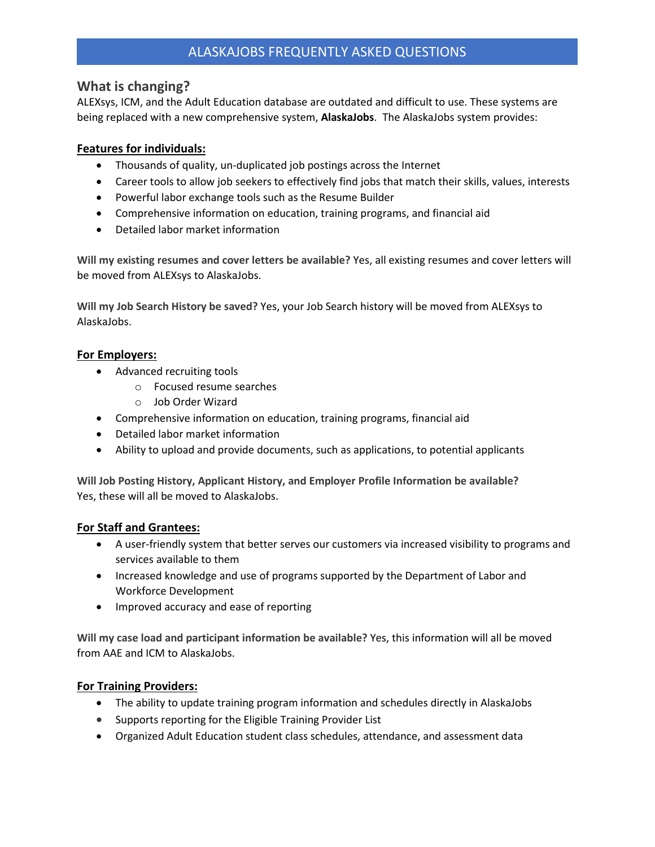# ALASKAJOBS FREQUENTLY ASKED QUESTIONS

### **What is changing?**

ALEXsys, ICM, and the Adult Education database are outdated and difficult to use. These systems are being replaced with a new comprehensive system, **AlaskaJobs**. The AlaskaJobs system provides:

### **Features for individuals:**

- Thousands of quality, un-duplicated job postings across the Internet
- Career tools to allow job seekers to effectively find jobs that match their skills, values, interests
- Powerful labor exchange tools such as the Resume Builder
- Comprehensive information on education, training programs, and financial aid
- Detailed labor market information

**Will my existing resumes and cover letters be available?** Yes, all existing resumes and cover letters will be moved from ALEXsys to AlaskaJobs.

**Will my Job Search History be saved?** Yes, your Job Search history will be moved from ALEXsys to AlaskaJobs.

#### **For Employers:**

- Advanced recruiting tools
	- o Focused resume searches
	- o Job Order Wizard
- Comprehensive information on education, training programs, financial aid
- Detailed labor market information
- Ability to upload and provide documents, such as applications, to potential applicants

**Will Job Posting History, Applicant History, and Employer Profile Information be available?**  Yes, these will all be moved to AlaskaJobs.

### **For Staff and Grantees:**

- A user-friendly system that better serves our customers via increased visibility to programs and services available to them
- Increased knowledge and use of programs supported by the Department of Labor and Workforce Development
- Improved accuracy and ease of reporting

**Will my case load and participant information be available?** Yes, this information will all be moved from AAE and ICM to AlaskaJobs.

### **For Training Providers:**

- The ability to update training program information and schedules directly in AlaskaJobs
- Supports reporting for the Eligible Training Provider List
- Organized Adult Education student class schedules, attendance, and assessment data